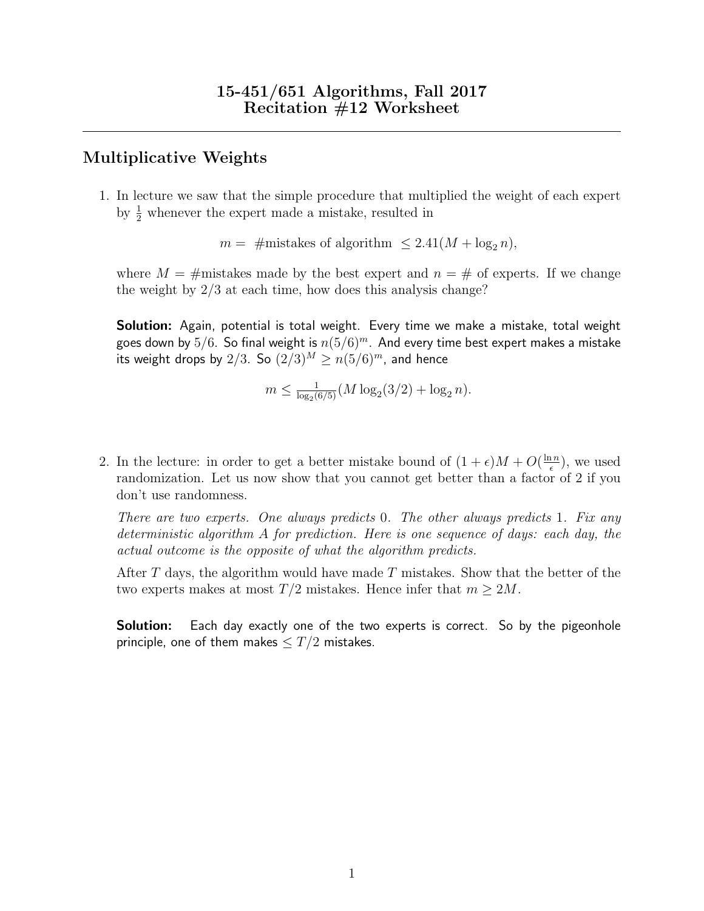## Multiplicative Weights

1. In lecture we saw that the simple procedure that multiplied the weight of each expert by  $\frac{1}{2}$  whenever the expert made a mistake, resulted in

 $m = \text{\#mistakes of algorithm } \leq 2.41(M + \log_2 n),$ 

where  $M = \text{\#mistakes}$  made by the best expert and  $n = \text{\#}$  of experts. If we change the weight by 2/3 at each time, how does this analysis change?

**Solution:** Again, potential is total weight. Every time we make a mistake, total weight goes down by  $5/6$ . So final weight is  $n(5/6)^m$ . And every time best expert makes a mistake its weight drops by 2/3. So  $(2/3)^M \ge n(5/6)^m$ , and hence

$$
m \leq \frac{1}{\log_2(6/5)}(M \log_2(3/2) + \log_2 n).
$$

2. In the lecture: in order to get a better mistake bound of  $(1 + \epsilon)M + O(\frac{\ln n}{\epsilon})$  $\frac{\ln n}{\epsilon}$ ), we used randomization. Let us now show that you cannot get better than a factor of 2 if you don't use randomness.

There are two experts. One always predicts 0. The other always predicts 1. Fix any deterministic algorithm A for prediction. Here is one sequence of days: each day, the actual outcome is the opposite of what the algorithm predicts.

After T days, the algorithm would have made T mistakes. Show that the better of the two experts makes at most  $T/2$  mistakes. Hence infer that  $m \geq 2M$ .

**Solution:** Each day exactly one of the two experts is correct. So by the pigeonhole principle, one of them makes  $\leq T/2$  mistakes.